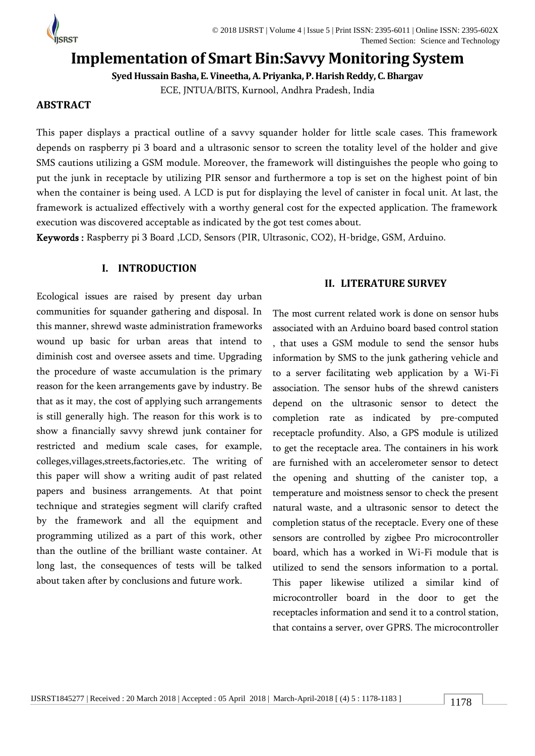

# **Implementation of Smart Bin:Savvy Monitoring System**

**Syed Hussain Basha, E. Vineetha, A. Priyanka, P. Harish Reddy, C.Bhargav**

ECE, JNTUA/BITS, Kurnool, Andhra Pradesh, India

# **ABSTRACT**

This paper displays a practical outline of a savvy squander holder for little scale cases. This framework depends on raspberry pi 3 board and a ultrasonic sensor to screen the totality level of the holder and give SMS cautions utilizing a GSM module. Moreover, the framework will distinguishes the people who going to put the junk in receptacle by utilizing PIR sensor and furthermore a top is set on the highest point of bin when the container is being used. A LCD is put for displaying the level of canister in focal unit. At last, the framework is actualized effectively with a worthy general cost for the expected application. The framework execution was discovered acceptable as indicated by the got test comes about.

Keywords : Raspberry pi 3 Board ,LCD, Sensors (PIR, Ultrasonic, CO2), H-bridge, GSM, Arduino.

# **I. INTRODUCTION**

Ecological issues are raised by present day urban communities for squander gathering and disposal. In this manner, shrewd waste administration frameworks wound up basic for urban areas that intend to diminish cost and oversee assets and time. Upgrading the procedure of waste accumulation is the primary reason for the keen arrangements gave by industry. Be that as it may, the cost of applying such arrangements is still generally high. The reason for this work is to show a financially savvy shrewd junk container for restricted and medium scale cases, for example, colleges,villages,streets,factories,etc. The writing of this paper will show a writing audit of past related papers and business arrangements. At that point technique and strategies segment will clarify crafted by the framework and all the equipment and programming utilized as a part of this work, other than the outline of the brilliant waste container. At long last, the consequences of tests will be talked about taken after by conclusions and future work.

# **II. LITERATURE SURVEY**

The most current related work is done on sensor hubs associated with an Arduino board based control station , that uses a GSM module to send the sensor hubs information by SMS to the junk gathering vehicle and to a server facilitating web application by a Wi-Fi association. The sensor hubs of the shrewd canisters depend on the ultrasonic sensor to detect the completion rate as indicated by pre-computed receptacle profundity. Also, a GPS module is utilized to get the receptacle area. The containers in his work are furnished with an accelerometer sensor to detect the opening and shutting of the canister top, a temperature and moistness sensor to check the present natural waste, and a ultrasonic sensor to detect the completion status of the receptacle. Every one of these sensors are controlled by zigbee Pro microcontroller board, which has a worked in Wi-Fi module that is utilized to send the sensors information to a portal. This paper likewise utilized a similar kind of microcontroller board in the door to get the receptacles information and send it to a control station, that contains a server, over GPRS. The microcontroller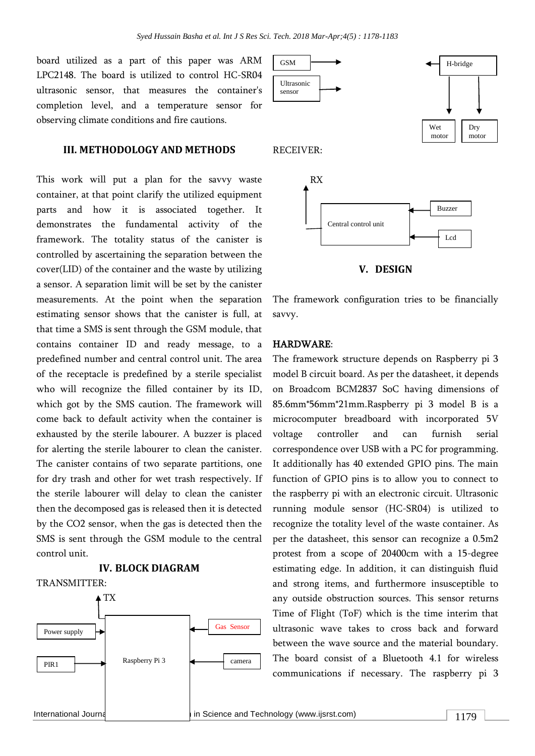board utilized as a part of this paper was ARM LPC2148. The board is utilized to control HC-SR04 ultrasonic sensor, that measures the container's completion level, and a temperature sensor for observing climate conditions and fire cautions.

#### **III. METHODOLOGY AND METHODS**

This work will put a plan for the savvy waste container, at that point clarify the utilized equipment parts and how it is associated together. It demonstrates the fundamental activity of the framework. The totality status of the canister is controlled by ascertaining the separation between the cover(LID) of the container and the waste by utilizing a sensor. A separation limit will be set by the canister measurements. At the point when the separation estimating sensor shows that the canister is full, at that time a SMS is sent through the GSM module, that contains container ID and ready message, to a predefined number and central control unit. The area of the receptacle is predefined by a sterile specialist who will recognize the filled container by its ID, which got by the SMS caution. The framework will come back to default activity when the container is exhausted by the sterile labourer. A buzzer is placed for alerting the sterile labourer to clean the canister. The canister contains of two separate partitions, one for dry trash and other for wet trash respectively. If the sterile labourer will delay to clean the canister then the decomposed gas is released then it is detected by the CO2 sensor, when the gas is detected then the SMS is sent through the GSM module to the central control unit.

# **IV. BLOCK DIAGRAM**

TRANSMITTER:









The framework configuration tries to be financially savvy.

#### HARDWARE:

The framework structure depends on Raspberry pi 3 model B circuit board. As per the datasheet, it depends on Broadcom BCM2837 SoC having dimensions of 85.6mm\*56mm\*21mm.Raspberry pi 3 model B is a microcomputer breadboard with incorporated 5V voltage controller and can furnish serial correspondence over USB with a PC for programming. It additionally has 40 extended GPIO pins. The main function of GPIO pins is to allow you to connect to the raspberry pi with an electronic circuit. Ultrasonic running module sensor (HC-SR04) is utilized to recognize the totality level of the waste container. As per the datasheet, this sensor can recognize a 0.5m2 protest from a scope of 20400cm with a 15-degree estimating edge. In addition, it can distinguish fluid and strong items, and furthermore insusceptible to any outside obstruction sources. This sensor returns Time of Flight (ToF) which is the time interim that ultrasonic wave takes to cross back and forward between the wave source and the material boundary. The board consist of a Bluetooth 4.1 for wireless communications if necessary. The raspberry pi 3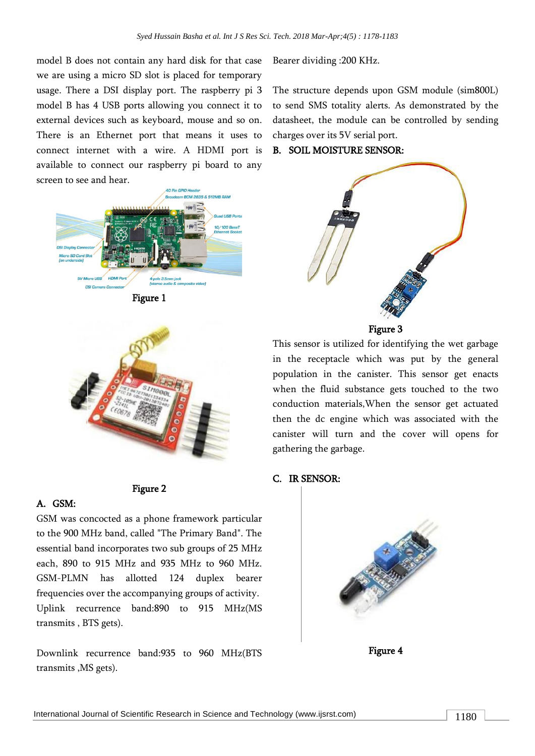model B does not contain any hard disk for that case we are using a micro SD slot is placed for temporary usage. There a DSI display port. The raspberry pi 3 model B has 4 USB ports allowing you connect it to external devices such as keyboard, mouse and so on. There is an Ethernet port that means it uses to connect internet with a wire. A HDMI port is available to connect our raspberry pi board to any screen to see and hear.







#### Figure 2

#### A. GSM:

GSM was concocted as a phone framework particular to the 900 MHz band, called "The Primary Band". The essential band incorporates two sub groups of 25 MHz each, 890 to 915 MHz and 935 MHz to 960 MHz. GSM-PLMN has allotted 124 duplex bearer frequencies over the accompanying groups of activity. Uplink recurrence band:890 to 915 MHz(MS transmits , BTS gets).

Downlink recurrence band:935 to 960 MHz(BTS transmits ,MS gets).

Bearer dividing :200 KHz.

The structure depends upon GSM module (sim800L) to send SMS totality alerts. As demonstrated by the datasheet, the module can be controlled by sending charges over its 5V serial port.

#### B. SOIL MOISTURE SENSOR:





This sensor is utilized for identifying the wet garbage in the receptacle which was put by the general population in the canister. This sensor get enacts when the fluid substance gets touched to the two conduction materials,When the sensor get actuated then the dc engine which was associated with the canister will turn and the cover will opens for gathering the garbage.

#### C. IR SENSOR:



Figure 4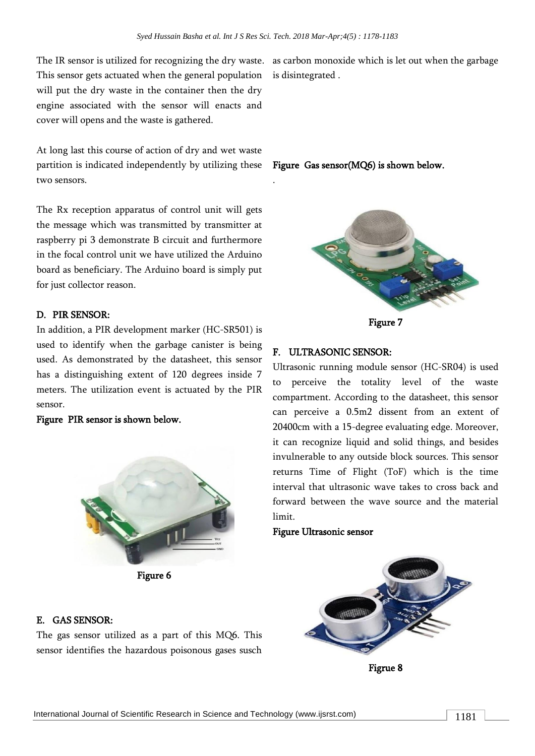.

The IR sensor is utilized for recognizing the dry waste. as carbon monoxide which is let out when the garbage This sensor gets actuated when the general population will put the dry waste in the container then the dry engine associated with the sensor will enacts and cover will opens and the waste is gathered.

At long last this course of action of dry and wet waste partition is indicated independently by utilizing these two sensors.

The Rx reception apparatus of control unit will gets the message which was transmitted by transmitter at raspberry pi 3 demonstrate B circuit and furthermore in the focal control unit we have utilized the Arduino board as beneficiary. The Arduino board is simply put for just collector reason.

# D. PIR SENSOR:

In addition, a PIR development marker (HC-SR501) is used to identify when the garbage canister is being used. As demonstrated by the datasheet, this sensor has a distinguishing extent of 120 degrees inside 7 meters. The utilization event is actuated by the PIR sensor.

Figure PIR sensor is shown below.



Figure 6

#### E. GAS SENSOR:

The gas sensor utilized as a part of this MQ6. This sensor identifies the hazardous poisonous gases susch

is disintegrated .

# Figure Gas sensor(MQ6) is shown below.



Figure 7

# F. ULTRASONIC SENSOR:

Ultrasonic running module sensor (HC-SR04) is used to perceive the totality level of the waste compartment. According to the datasheet, this sensor can perceive a 0.5m2 dissent from an extent of 20400cm with a 15-degree evaluating edge. Moreover, it can recognize liquid and solid things, and besides invulnerable to any outside block sources. This sensor returns Time of Flight (ToF) which is the time interval that ultrasonic wave takes to cross back and forward between the wave source and the material limit.

#### Figure Ultrasonic sensor



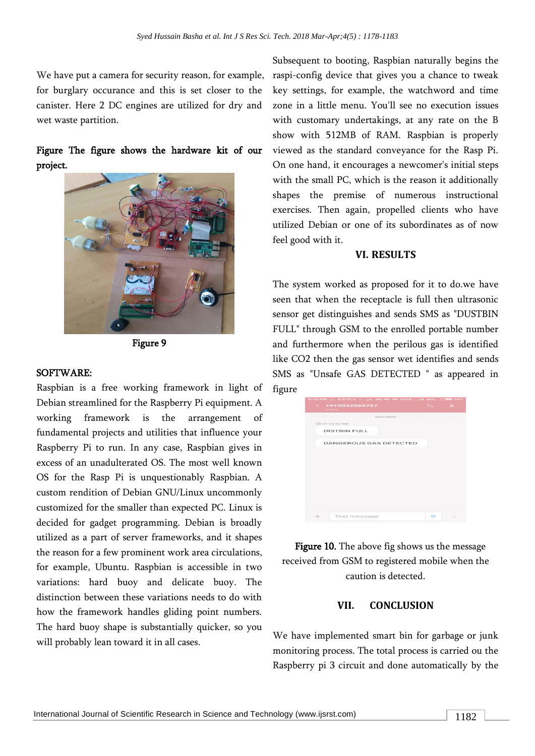We have put a camera for security reason, for example, for burglary occurance and this is set closer to the canister. Here 2 DC engines are utilized for dry and wet waste partition.

# Figure The figure shows the hardware kit of our project.



Figure 9

#### SOFTWARE:

Raspbian is a free working framework in light of Debian streamlined for the Raspberry Pi equipment. A working framework is the arrangement of fundamental projects and utilities that influence your Raspberry Pi to run. In any case, Raspbian gives in excess of an unadulterated OS. The most well known OS for the Rasp Pi is unquestionably Raspbian. A custom rendition of Debian GNU/Linux uncommonly customized for the smaller than expected PC. Linux is decided for gadget programming. Debian is broadly utilized as a part of server frameworks, and it shapes the reason for a few prominent work area circulations, for example, Ubuntu. Raspbian is accessible in two variations: hard buoy and delicate buoy. The distinction between these variations needs to do with how the framework handles gliding point numbers. The hard buoy shape is substantially quicker, so you will probably lean toward it in all cases.

Subsequent to booting, Raspbian naturally begins the raspi-config device that gives you a chance to tweak key settings, for example, the watchword and time zone in a little menu. You'll see no execution issues with customary undertakings, at any rate on the B show with 512MB of RAM. Raspbian is properly viewed as the standard conveyance for the Rasp Pi. On one hand, it encourages a newcomer's initial steps with the small PC, which is the reason it additionally shapes the premise of numerous instructional exercises. Then again, propelled clients who have utilized Debian or one of its subordinates as of now feel good with it.

# **VI. RESULTS**

The system worked as proposed for it to do.we have seen that when the receptacle is full then ultrasonic sensor get distinguishes and sends SMS as "DUSTBIN FULL" through GSM to the enrolled portable number and furthermore when the perilous gas is identified like CO2 then the gas sensor wet identifies and sends SMS as "Unsafe GAS DETECTED " as appeared in figure

|     | 8:16 PM  0.57K/s    Jio 4G 4G VoLT.  Il airt CHIP 62% |               |  |
|-----|-------------------------------------------------------|---------------|--|
|     | $\leq$ +919032565757<br><b>India</b>                  | $\sim$ $\sim$ |  |
|     | SMS/MMS-                                              |               |  |
|     | $[2]$ 25-3 6:46 AM                                    |               |  |
|     | <b>DISTBIN FULL</b>                                   |               |  |
|     | <b>DANGEROUS GAS DETECTED</b>                         |               |  |
|     |                                                       |               |  |
|     |                                                       |               |  |
|     |                                                       |               |  |
|     |                                                       |               |  |
|     |                                                       |               |  |
|     |                                                       |               |  |
|     |                                                       |               |  |
|     |                                                       |               |  |
| $+$ | Text message                                          | $\Box$        |  |
|     |                                                       |               |  |

Figure 10. The above fig shows us the message received from GSM to registered mobile when the caution is detected.

# **VII. CONCLUSION**

We have implemented smart bin for garbage or junk monitoring process. The total process is carried ou the Raspberry pi 3 circuit and done automatically by the